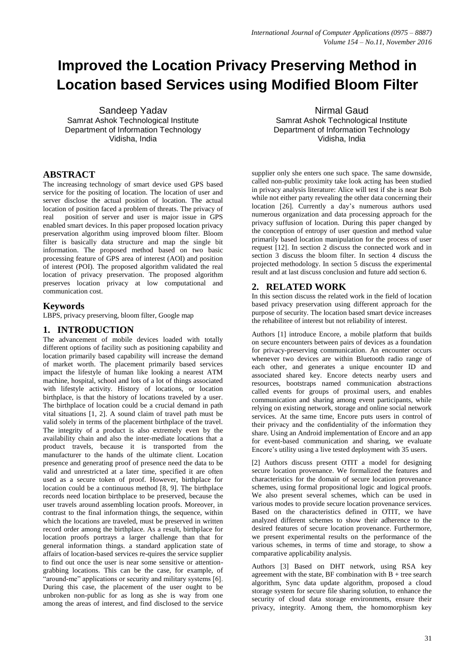# **Improved the Location Privacy Preserving Method in Location based Services using Modified Bloom Filter**

Sandeep Yadav Samrat Ashok Technological Institute Department of Information Technology Vidisha, India

# **ABSTRACT**

The increasing technology of smart device used GPS based service for the positing of location. The location of user and server disclose the actual position of location. The actual location of position faced a problem of threats. The privacy of real position of server and user is major issue in GPS enabled smart devices. In this paper proposed location privacy preservation algorithm using improved bloom filter. Bloom filter is basically data structure and map the single bit information. The proposed method based on two basic processing feature of GPS area of interest (AOI) and position of interest (POI). The proposed algorithm validated the real location of privacy preservation. The proposed algorithm preserves location privacy at low computational and communication cost.

## **Keywords**

LBPS, privacy preserving, bloom filter, Google map

## **1. INTRODUCTION**

The advancement of mobile devices loaded with totally different options of facility such as positioning capability and location primarily based capability will increase the demand of market worth. The placement primarily based services impact the lifestyle of human like looking a nearest ATM machine, hospital, school and lots of a lot of things associated with lifestyle activity. History of locations, or location birthplace, is that the history of locations traveled by a user. The birthplace of location could be a crucial demand in path vital situations [1, 2]. A sound claim of travel path must be valid solely in terms of the placement birthplace of the travel. The integrity of a product is also extremely even by the availability chain and also the inter-mediate locations that a product travels, because it is transported from the manufacturer to the hands of the ultimate client. Location presence and generating proof of presence need the data to be valid and unrestricted at a later time, specified it are often used as a secure token of proof. However, birthplace for location could be a continuous method [8, 9]. The birthplace records need location birthplace to be preserved, because the user travels around assembling location proofs. Moreover, in contrast to the final information things, the sequence, within which the locations are traveled, must be preserved in written record order among the birthplace. As a result, birthplace for location proofs portrays a larger challenge than that for general information things. a standard application state of affairs of location-based services re-quires the service supplier to find out once the user is near some sensitive or attentiongrabbing locations. This can be the case, for example, of "around-me" applications or security and military systems [6]. During this case, the placement of the user ought to be unbroken non-public for as long as she is way from one among the areas of interest, and find disclosed to the service

Nirmal Gaud Samrat Ashok Technological Institute Department of Information Technology Vidisha, India

supplier only she enters one such space. The same downside, called non-public proximity take look acting has been studied in privacy analysis literature: Alice will test if she is near Bob while not either party revealing the other data concerning their location [26]. Currently a day's numerous authors used numerous organization and data processing approach for the privacy suffusion of location. During this paper changed by the conception of entropy of user question and method value primarily based location manipulation for the process of user request [12]. In section 2 discuss the connected work and in section 3 discuss the bloom filter. In section 4 discuss the projected methodology. In section 5 discuss the experimental result and at last discuss conclusion and future add section 6.

# **2. RELATED WORK**

In this section discuss the related work in the field of location based privacy preservation using different approach for the purpose of security. The location based smart device increases the rehabilitee of interest but not reliability of interest.

Authors [1] introduce Encore, a mobile platform that builds on secure encounters between pairs of devices as a foundation for privacy-preserving communication. An encounter occurs whenever two devices are within Bluetooth radio range of each other, and generates a unique encounter ID and associated shared key. Encore detects nearby users and resources, bootstraps named communication abstractions called events for groups of proximal users, and enables communication and sharing among event participants, while relying on existing network, storage and online social network services. At the same time, Encore puts users in control of their privacy and the confidentiality of the information they share. Using an Android implementation of Encore and an app for event-based communication and sharing, we evaluate Encore's utility using a live tested deployment with 35 users.

[2] Authors discuss present OTIT a model for designing secure location provenance. We formalized the features and characteristics for the domain of secure location provenance schemes, using formal propositional logic and logical proofs. We also present several schemes, which can be used in various modes to provide secure location provenance services. Based on the characteristics defined in OTIT, we have analyzed different schemes to show their adherence to the desired features of secure location provenance. Furthermore, we present experimental results on the performance of the various schemes, in terms of time and storage, to show a comparative applicability analysis.

Authors [3] Based on DHT network, using RSA key agreement with the state, BF combination with  $B +$  tree search algorithm, Sync data update algorithm, proposed a cloud storage system for secure file sharing solution, to enhance the security of cloud data storage environments, ensure their privacy, integrity. Among them, the homomorphism key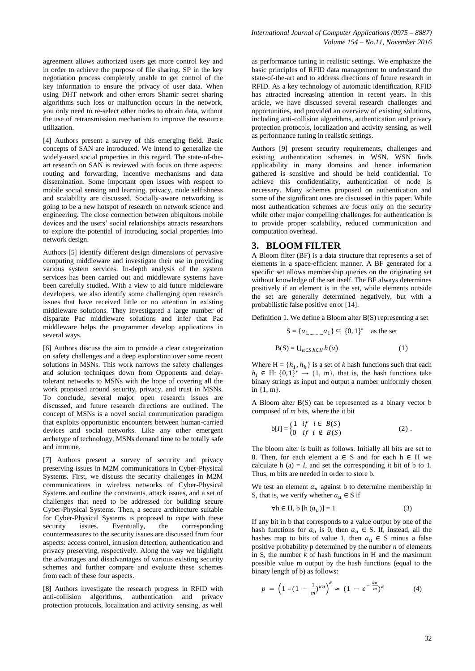agreement allows authorized users get more control key and in order to achieve the purpose of file sharing. SP in the key negotiation process completely unable to get control of the key information to ensure the privacy of user data. When using DHT network and other errors Shamir secret sharing algorithms such loss or malfunction occurs in the network, you only need to re-select other nodes to obtain data, without the use of retransmission mechanism to improve the resource utilization.

[4] Authors present a survey of this emerging field. Basic concepts of SAN are introduced. We intend to generalize the widely-used social properties in this regard. The state-of-theart research on SAN is reviewed with focus on three aspects: routing and forwarding, incentive mechanisms and data dissemination. Some important open issues with respect to mobile social sensing and learning, privacy, node selfishness and scalability are discussed. Socially-aware networking is going to be a new hotspot of research on network science and engineering. The close connection between ubiquitous mobile devices and the users' social relationships attracts researchers to explore the potential of introducing social properties into network design.

Authors [5] identify different design dimensions of pervasive computing middleware and investigate their use in providing various system services. In-depth analysis of the system services has been carried out and middleware systems have been carefully studied. With a view to aid future middleware developers, we also identify some challenging open research issues that have received little or no attention in existing middleware solutions. They investigated a large number of disparate Pac middleware solutions and infer that Pac middleware helps the programmer develop applications in several ways.

[6] Authors discuss the aim to provide a clear categorization on safety challenges and a deep exploration over some recent solutions in MSNs. This work narrows the safety challenges and solution techniques down from Opponents and delaytolerant networks to MSNs with the hope of covering all the work proposed around security, privacy, and trust in MSNs. To conclude, several major open research issues are discussed, and future research directions are outlined. The concept of MSNs is a novel social communication paradigm that exploits opportunistic encounters between human-carried devices and social networks. Like any other emergent archetype of technology, MSNs demand time to be totally safe and immune.

[7] Authors present a survey of security and privacy preserving issues in M2M communications in Cyber-Physical Systems. First, we discuss the security challenges in M2M communications in wireless networks of Cyber-Physical Systems and outline the constraints, attack issues, and a set of challenges that need to be addressed for building secure Cyber-Physical Systems. Then, a secure architecture suitable for Cyber-Physical Systems is proposed to cope with these security issues. Eventually, the corresponding countermeasures to the security issues are discussed from four aspects: access control, intrusion detection, authentication and privacy preserving, respectively. Along the way we highlight the advantages and disadvantages of various existing security schemes and further compare and evaluate these schemes from each of these four aspects.

[8] Authors investigate the research progress in RFID with anti-collision algorithms, authentication and privacy protection protocols, localization and activity sensing, as well

as performance tuning in realistic settings. We emphasize the basic principles of RFID data management to understand the state-of-the-art and to address directions of future research in RFID. As a key technology of automatic identification, RFID has attracted increasing attention in recent years. In this article, we have discussed several research challenges and opportunities, and provided an overview of existing solutions, including anti-collision algorithms, authentication and privacy protection protocols, localization and activity sensing, as well as performance tuning in realistic settings.

Authors [9] present security requirements, challenges and existing authentication schemes in WSN. WSN finds applicability in many domains and hence information gathered is sensitive and should be held confidential. To achieve this confidentiality, authentication of node is necessary. Many schemes proposed on authentication and some of the significant ones are discussed in this paper. While most authentication schemes are focus only on the security while other major compelling challenges for authentication is to provide proper scalability, reduced communication and computation overhead.

#### **3. BLOOM FILTER**

A Bloom filter (BF) is a data structure that represents a set of elements in a space-efficient manner. A BF generated for a specific set allows membership queries on the originating set without knowledge of the set itself. The BF always determines positively if an element is in the set, while elements outside the set are generally determined negatively, but with a probabilistic false positive error [14].

Definition 1. We define a Bloom alter B(S) representing a set

$$
S = \{a_{1, \dots, a_1}\} \subseteq \{0, 1\}^* \text{ as the set}
$$

$$
B(S) = U_{a \in S, h \in H} h(a)
$$
 (1)

Where  $H = \{h_1, h_k\}$  is a set of *k* hash functions such that each  $h_i \in H: \{0, 1\}^* \to \{1, m\}$ , that is, the hash functions take binary strings as input and output a number uniformly chosen in {1, m}.

A Bloom alter B(S) can be represented as a binary vector b composed of *m* bits, where the it bit

$$
b[I] = \begin{cases} 1 & \text{if } i \in B(S) \\ 0 & \text{if } i \notin B(S) \end{cases}
$$
 (2).

The bloom alter is built as follows. Initially all bits are set to 0. Then, for each element  $a \in S$  and for each  $h \in H$  we calculate h  $(a) = I$ , and set the corresponding *it* bit of b to 1. Thus, m bits are needed in order to store b.

We test an element  $a_u$  against b to determine membership in S, that is, we verify whether  $a_u \in S$  if

$$
\forall h \in H, b [h (au)] = 1
$$
 (3)

If any bit in b that corresponds to a value output by one of the hash functions for  $a_{ij}$  is 0, then  $a_{ij} \in S$ . If, instead, all the hashes map to bits of value 1, then  $a_u \in S$  minus a false positive probability p determined by the number *n* of elements in S, the number *k* of hash functions in H and the maximum possible value m output by the hash functions (equal to the binary length of b) as follows:

$$
p = \left(1 - (1 - \frac{1}{m})^{kn}\right)^k \approx (1 - e^{-\frac{kn}{m}})^k \tag{4}
$$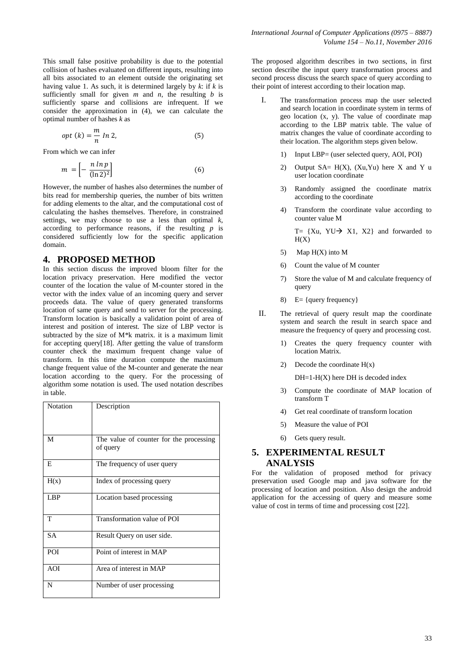This small false positive probability is due to the potential collision of hashes evaluated on different inputs, resulting into all bits associated to an element outside the originating set having value 1. As such, it is determined largely by  $k$ : if  $k$  is sufficiently small for given  $m$  and  $n$ , the resulting  $b$  is sufficiently sparse and collisions are infrequent. If we consider the approximation in (4), we can calculate the optimal number of hashes *k* as

$$
opt (k) = \frac{m}{n} \ln 2, \tag{5}
$$

From which we can infer

$$
m = \left[ -\frac{n \ln p}{(\ln 2)^2} \right] \tag{6}
$$

However, the number of hashes also determines the number of bits read for membership queries, the number of bits written for adding elements to the altar, and the computational cost of calculating the hashes themselves. Therefore, in constrained settings, we may choose to use a less than optimal *k*, according to performance reasons, if the resulting *p* is considered sufficiently low for the specific application domain.

## **4. PROPOSED METHOD**

In this section discuss the improved bloom filter for the location privacy preservation. Here modified the vector counter of the location the value of M-counter stored in the vector with the index value of an incoming query and server proceeds data. The value of query generated transforms location of same query and send to server for the processing. Transform location is basically a validation point of area of interest and position of interest. The size of LBP vector is subtracted by the size of M\*k matrix. it is a maximum limit for accepting query[18]. After getting the value of transform counter check the maximum frequent change value of transform. In this time duration compute the maximum change frequent value of the M-counter and generate the near location according to the query. For the processing of algorithm some notation is used. The used notation describes in table.

| Notation   | Description                             |
|------------|-----------------------------------------|
|            |                                         |
|            |                                         |
|            |                                         |
|            |                                         |
| M          | The value of counter for the processing |
|            | of query                                |
|            |                                         |
|            |                                         |
| E          | The frequency of user query             |
|            |                                         |
| H(x)       | Index of processing query               |
|            |                                         |
|            |                                         |
| LBP        | Location based processing               |
|            |                                         |
|            |                                         |
| T          | Transformation value of POI             |
|            |                                         |
| <b>SA</b>  | Result Query on user side.              |
|            |                                         |
|            |                                         |
| <b>POI</b> | Point of interest in MAP                |
|            |                                         |
| AOI        | Area of interest in MAP                 |
|            |                                         |
|            |                                         |
| N          | Number of user processing               |
|            |                                         |
|            |                                         |

The proposed algorithm describes in two sections, in first section describe the input query transformation process and second process discuss the search space of query according to their point of interest according to their location map.

- I. The transformation process map the user selected and search location in coordinate system in terms of geo location (x, y). The value of coordinate map according to the LBP matrix table. The value of matrix changes the value of coordinate according to their location. The algorithm steps given below.
	- 1) Input LBP= (user selected query, AOI, POI)
	- 2) Output SA=  $H(X)$ ,  $(Xu, Yu)$  here X and Y u user location coordinate
	- 3) Randomly assigned the coordinate matrix according to the coordinate
	- 4) Transform the coordinate value according to counter value M

T=  ${Xu, YU \rightarrow X1, X2}$  and forwarded to  $H(X)$ 

- 5) Map H(X) into M
- 6) Count the value of M counter
- 7) Store the value of M and calculate frequency of query
- 8) E= {query frequency}
- II. The retrieval of query result map the coordinate system and search the result in search space and measure the frequency of query and processing cost.
	- 1) Creates the query frequency counter with location Matrix.
	- 2) Decode the coordinate  $H(x)$

 $DH=1-H(X)$  here DH is decoded index

- 3) Compute the coordinate of MAP location of transform T
- 4) Get real coordinate of transform location
- 5) Measure the value of POI
- 6) Gets query result.

## **5. EXPERIMENTAL RESULT ANALYSIS**

For the validation of proposed method for privacy preservation used Google map and java software for the processing of location and position. Also design the android application for the accessing of query and measure some value of cost in terms of time and processing cost [22].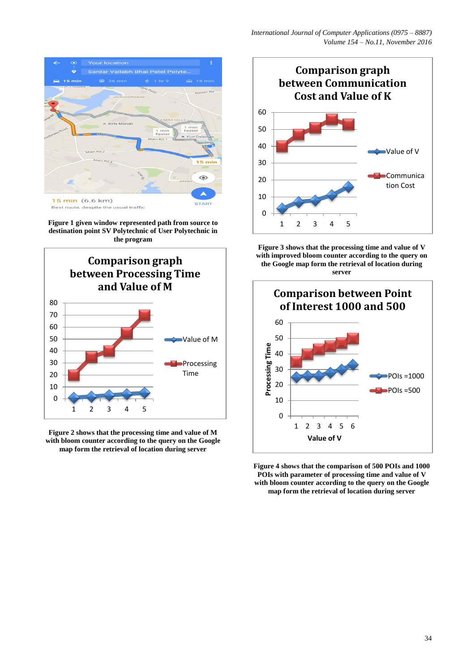

**Figure 1 given window represented path from source to destination point SV Polytechnic of User Polytechnic in the program**







**Figure 3 shows that the processing time and value of V with improved bloom counter according to the query on the Google map form the retrieval of location during server**



**Figure 4 shows that the comparison of 500 POIs and 1000 POIs with parameter of processing time and value of V with bloom counter according to the query on the Google map form the retrieval of location during server**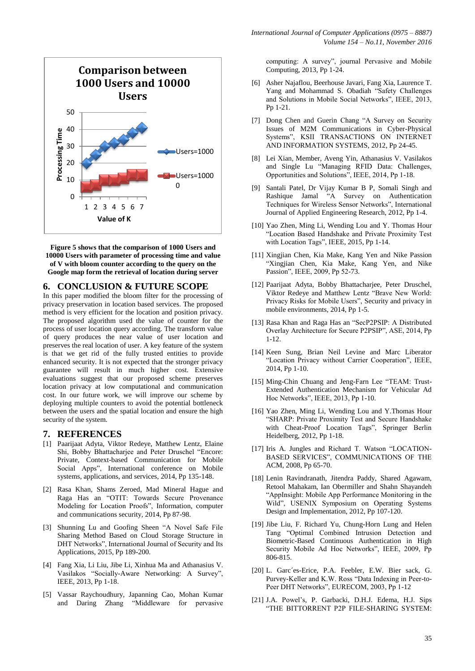

**Figure 5 shows that the comparison of 1000 Users and 10000 Users with parameter of processing time and value of V with bloom counter according to the query on the Google map form the retrieval of location during server**

### **6. CONCLUSION & FUTURE SCOPE**

In this paper modified the bloom filter for the processing of privacy preservation in location based services. The proposed method is very efficient for the location and position privacy. The proposed algorithm used the value of counter for the process of user location query according. The transform value of query produces the near value of user location and preserves the real location of user. A key feature of the system is that we get rid of the fully trusted entities to provide enhanced security. It is not expected that the stronger privacy guarantee will result in much higher cost. Extensive evaluations suggest that our proposed scheme preserves location privacy at low computational and communication cost. In our future work, we will improve our scheme by deploying multiple counters to avoid the potential bottleneck between the users and the spatial location and ensure the high security of the system.

#### **7. REFERENCES**

- [1] Paarijaat Adyta, Viktor Redeye, Matthew Lentz, Elaine Shi, Bobby Bhattachariee and Peter Druschel "Encore: Private, Context-based Communication for Mobile Social Apps", International conference on Mobile systems, applications, and services, 2014, Pp 135-148.
- [2] Rasa Khan, Shams Zeroed, Mad Mineral Hague and Raga Has an "OTIT: Towards Secure Provenance Modeling for Location Proofs", Information, computer and communications security, 2014, Pp 87-98.
- [3] Shunning Lu and Goofing Sheen "A Novel Safe File Sharing Method Based on Cloud Storage Structure in DHT Networks", International Journal of Security and Its Applications, 2015, Pp 189-200.
- [4] Fang Xia, Li Liu, Jibe Li, Xinhua Ma and Athanasius V. Vasilakos "Socially-Aware Networking: A Survey", IEEE, 2013, Pp 1-18.
- [5] Vassar Raychoudhury, Japanning Cao, Mohan Kumar and Daring Zhang "Middleware for pervasive

computing: A survey", journal Pervasive and Mobile Computing, 2013, Pp 1-24.

- [6] Asher Najaflou, Beerhouse Javari, Fang Xia, Laurence T. Yang and Mohammad S. Obadiah "Safety Challenges and Solutions in Mobile Social Networks", IEEE, 2013, Pp 1-21.
- [7] Dong Chen and Guerin Chang "A Survey on Security Issues of M2M Communications in Cyber-Physical Systems", KSII TRANSACTIONS ON INTERNET AND INFORMATION SYSTEMS, 2012, Pp 24-45.
- [8] Lei Xian, Member, Aveng Yin, Athanasius V. Vasilakos and Single Lu "Managing RFID Data: Challenges, Opportunities and Solutions", IEEE, 2014, Pp 1-18.
- [9] Santali Patel, Dr Vijay Kumar B P, Somali Singh and Rashique Jamal "A Survey on Authentication Techniques for Wireless Sensor Networks", International Journal of Applied Engineering Research, 2012, Pp 1-4.
- [10] Yao Zhen, Ming Li, Wending Lou and Y. Thomas Hour "Location Based Handshake and Private Proximity Test with Location Tags", IEEE, 2015, Pp 1-14.
- [11] Xingjian Chen, Kia Make, Kang Yen and Nike Passion "Xingjian Chen, Kia Make, Kang Yen, and Nike Passion", IEEE, 2009, Pp 52-73.
- [12] Paarijaat Adyta, Bobby Bhattacharjee, Peter Druschel, Viktor Redeye and Matthew Lentz "Brave New World: Privacy Risks for Mobile Users", Security and privacy in mobile environments, 2014, Pp 1-5.
- [13] Rasa Khan and Raga Has an "SecP2PSIP: A Distributed Overlay Architecture for Secure P2PSIP", ASE, 2014, Pp 1-12.
- [14] Keen Sung, Brian Neil Levine and Marc Liberator "Location Privacy without Carrier Cooperation", IEEE, 2014, Pp 1-10.
- [15] Ming-Chin Chuang and Jeng-Farn Lee "TEAM: Trust-Extended Authentication Mechanism for Vehicular Ad Hoc Networks", IEEE, 2013, Pp 1-10.
- [16] Yao Zhen, Ming Li, Wending Lou and Y.Thomas Hour "SHARP: Private Proximity Test and Secure Handshake with Cheat-Proof Location Tags", Springer Berlin Heidelberg, 2012, Pp 1-18.
- [17] Iris A. Jungles and Richard T. Watson "LOCATION-BASED SERVICES", COMMUNICATIONS OF THE ACM, 2008, Pp 65-70.
- [18] Lenin Ravindranath, Jitendra Paddy, Shared Agawam, Retool Mahakam, Ian Obermiller and Shahn Shayandeh "AppInsight: Mobile App Performance Monitoring in the Wild", USENIX Symposium on Operating Systems Design and Implementation, 2012, Pp 107-120.
- [19] Jibe Liu, F. Richard Yu, Chung-Horn Lung and Helen Tang "Optimal Combined Intrusion Detection and Biometric-Based Continuous Authentication in High Security Mobile Ad Hoc Networks", IEEE, 2009, Pp 806-815.
- [20] L. Garc´es-Erice, P.A. Feebler, E.W. Bier sack, G. Purvey-Keller and K.W. Ross "Data Indexing in Peer-to-Peer DHT Networks", EURECOM, 2003, Pp 1-12
- [21] J.A. Powel's, P. Garbacki, D.H.J. Edema, H.J. Sips "THE BITTORRENT P2P FILE-SHARING SYSTEM: